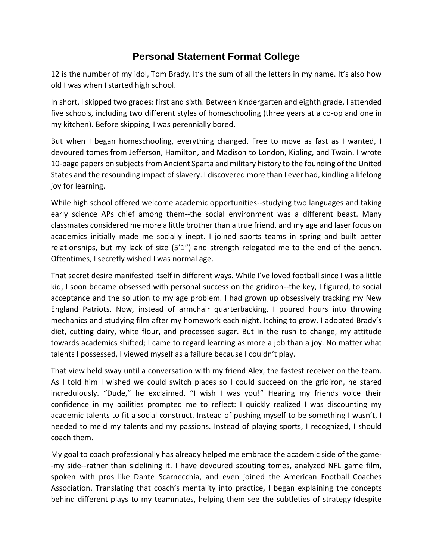## **Personal Statement Format College**

12 is the number of my idol, Tom Brady. It's the sum of all the letters in my name. It's also how old I was when I started high school.

In short, I skipped two grades: first and sixth. Between kindergarten and eighth grade, I attended five schools, including two different styles of homeschooling (three years at a co-op and one in my kitchen). Before skipping, I was perennially bored.

But when I began homeschooling, everything changed. Free to move as fast as I wanted, I devoured tomes from Jefferson, Hamilton, and Madison to London, Kipling, and Twain. I wrote 10-page papers on subjects from Ancient Sparta and military history to the founding of the United States and the resounding impact of slavery. I discovered more than I ever had, kindling a lifelong joy for learning.

While high school offered welcome academic opportunities--studying two languages and taking early science APs chief among them--the social environment was a different beast. Many classmates considered me more a little brother than a true friend, and my age and laser focus on academics initially made me socially inept. I joined sports teams in spring and built better relationships, but my lack of size (5'1") and strength relegated me to the end of the bench. Oftentimes, I secretly wished I was normal age.

That secret desire manifested itself in different ways. While I've loved football since I was a little kid, I soon became obsessed with personal success on the gridiron--the key, I figured, to social acceptance and the solution to my age problem. I had grown up obsessively tracking my New England Patriots. Now, instead of armchair quarterbacking, I poured hours into throwing mechanics and studying film after my homework each night. Itching to grow, I adopted Brady's diet, cutting dairy, white flour, and processed sugar. But in the rush to change, my attitude towards academics shifted; I came to regard learning as more a job than a joy. No matter what talents I possessed, I viewed myself as a failure because I couldn't play.

That view held sway until a conversation with my friend Alex, the fastest receiver on the team. As I told him I wished we could switch places so I could succeed on the gridiron, he stared incredulously. "Dude," he exclaimed, "I wish I was you!" Hearing my friends voice their confidence in my abilities prompted me to reflect: I quickly realized I was discounting my academic talents to fit a social construct. Instead of pushing myself to be something I wasn't, I needed to meld my talents and my passions. Instead of playing sports, I recognized, I should coach them.

My goal to coach professionally has already helped me embrace the academic side of the game- -my side--rather than sidelining it. I have devoured scouting tomes, analyzed NFL game film, spoken with pros like Dante Scarnecchia, and even joined the American Football Coaches Association. Translating that coach's mentality into practice, I began explaining the concepts behind different plays to my teammates, helping them see the subtleties of strategy (despite